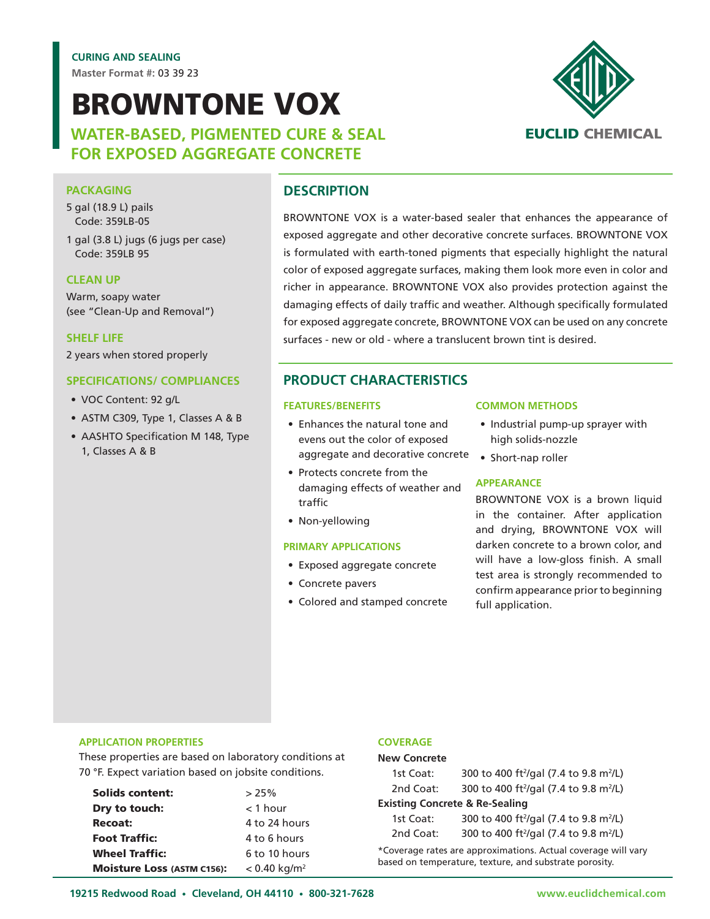**Master Format #:** 03 39 23

# BROWNTONE VOX

**WATER-BASED, PIGMENTED CURE & SEAL FOR EXPOSED AGGREGATE CONCRETE**



#### **PACKAGING**

- 5 gal (18.9 L) pails Code: 359LB-05
- 1 gal (3.8 L) jugs (6 jugs per case) Code: 359LB 95

#### **CLEAN UP**

Warm, soapy water (see "Clean-Up and Removal")

**SHELF LIFE**

2 years when stored properly

#### **SPECIFICATIONS/ COMPLIANCES**

- VOC Content: 92 g/L
- ASTM C309, Type 1, Classes A & B
- AASHTO Specification M 148, Type 1, Classes A & B

# **DESCRIPTION**

BROWNTONE VOX is a water-based sealer that enhances the appearance of exposed aggregate and other decorative concrete surfaces. BROWNTONE VOX is formulated with earth-toned pigments that especially highlight the natural color of exposed aggregate surfaces, making them look more even in color and richer in appearance. BROWNTONE VOX also provides protection against the damaging effects of daily traffic and weather. Although specifically formulated for exposed aggregate concrete, BROWNTONE VOX can be used on any concrete surfaces - new or old - where a translucent brown tint is desired.

# **PRODUCT CHARACTERISTICS**

#### **FEATURES/BENEFITS**

- Enhances the natural tone and evens out the color of exposed aggregate and decorative concrete • Short-nap roller
- Protects concrete from the damaging effects of weather and traffic
- Non-yellowing

#### **PRIMARY APPLICATIONS**

- Exposed aggregate concrete
- Concrete pavers
- Colored and stamped concrete

#### **COMMON METHODS**

- Industrial pump-up sprayer with high solids-nozzle
- 

#### **APPEARANCE**

BROWNTONE VOX is a brown liquid in the container. After application and drying, BROWNTONE VOX will darken concrete to a brown color, and will have a low-gloss finish. A small test area is strongly recommended to confirm appearance prior to beginning full application.

#### **APPLICATION PROPERTIES**

These properties are based on laboratory conditions at 70 °F. Expect variation based on jobsite conditions.

| <b>Solids content:</b>            | >25%                       |
|-----------------------------------|----------------------------|
| Dry to touch:                     | $<$ 1 hour                 |
| <b>Recoat:</b>                    | 4 to 24 hours              |
| <b>Foot Traffic:</b>              | 4 to 6 hours               |
| <b>Wheel Traffic:</b>             | 6 to 10 hours              |
| <b>Moisture Loss (ASTM C156):</b> | $< 0.40$ kg/m <sup>2</sup> |

#### **COVERAGE**

#### **New Concrete**

| 1st Coat:                                 | 300 to 400 ft <sup>2</sup> /gal (7.4 to 9.8 m <sup>2</sup> /L) |  |
|-------------------------------------------|----------------------------------------------------------------|--|
| 2nd Coat:                                 | 300 to 400 ft <sup>2</sup> /gal (7.4 to 9.8 m <sup>2</sup> /L) |  |
| <b>Existing Concrete &amp; Re-Sealing</b> |                                                                |  |
| 1st Coat:                                 | 300 to 400 ft <sup>2</sup> /gal (7.4 to 9.8 m <sup>2</sup> /L) |  |
| 2nd Coat:                                 | 300 to 400 ft <sup>2</sup> /gal (7.4 to 9.8 m <sup>2</sup> /L) |  |

\*Coverage rates are approximations. Actual coverage will vary based on temperature, texture, and substrate porosity.